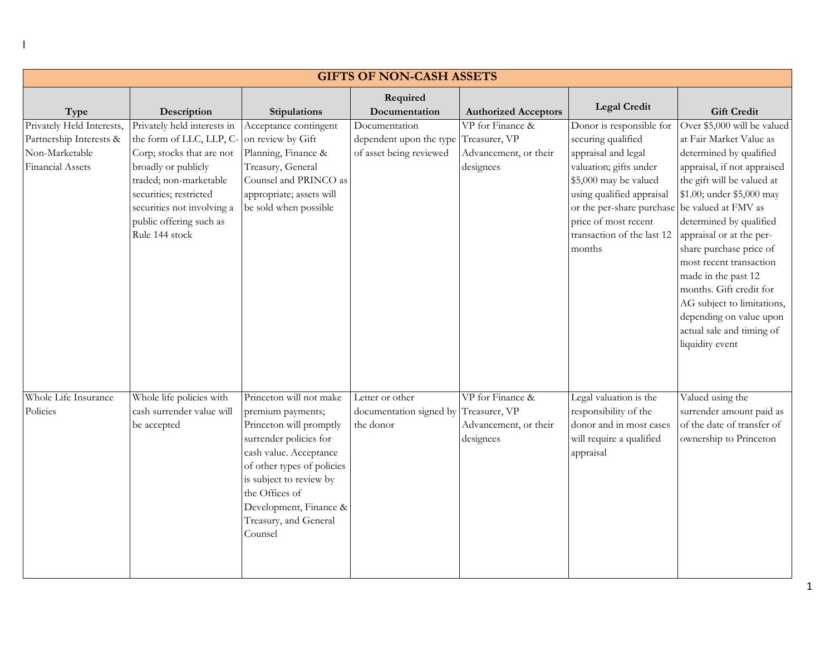| <b>GIFTS OF NON-CASH ASSETS</b>                                                                   |                                                                                                                                                                                                                                            |                                                                                                                                                                                                                                                                      |                                                                                   |                                                                         |                                                                                                                                                                                                                                                                        |                                                                                                                                                                                                                                                                                          |  |
|---------------------------------------------------------------------------------------------------|--------------------------------------------------------------------------------------------------------------------------------------------------------------------------------------------------------------------------------------------|----------------------------------------------------------------------------------------------------------------------------------------------------------------------------------------------------------------------------------------------------------------------|-----------------------------------------------------------------------------------|-------------------------------------------------------------------------|------------------------------------------------------------------------------------------------------------------------------------------------------------------------------------------------------------------------------------------------------------------------|------------------------------------------------------------------------------------------------------------------------------------------------------------------------------------------------------------------------------------------------------------------------------------------|--|
| Type                                                                                              | Description                                                                                                                                                                                                                                | Stipulations                                                                                                                                                                                                                                                         | Required<br>Documentation                                                         | <b>Authorized Acceptors</b>                                             | <b>Legal Credit</b>                                                                                                                                                                                                                                                    | <b>Gift Credit</b>                                                                                                                                                                                                                                                                       |  |
| Privately Held Interests,<br>Partnership Interests &<br>Non-Marketable<br><b>Financial Assets</b> | Privately held interests in<br>the form of LLC, LLP, C-<br>Corp; stocks that are not<br>broadly or publicly<br>traded; non-marketable<br>securities; restricted<br>securities not involving a<br>public offering such as<br>Rule 144 stock | Acceptance contingent<br>on review by Gift<br>Planning, Finance &<br>Treasury, General<br>Counsel and PRINCO as<br>appropriate; assets will<br>be sold when possible                                                                                                 | Documentation<br>dependent upon the type Treasurer, VP<br>of asset being reviewed | VP for Finance &<br>Advancement, or their<br>designees                  | Donor is responsible for<br>securing qualified<br>appraisal and legal<br>valuation; gifts under<br>\$5,000 may be valued<br>using qualified appraisal<br>or the per-share purchase be valued at FMV as<br>price of most recent<br>transaction of the last 12<br>months | Over \$5,000 will be valued<br>at Fair Market Value as<br>determined by qualified<br>appraisal, if not appraised<br>the gift will be valued at<br>\$1.00; under \$5,000 may<br>determined by qualified<br>appraisal or at the per-<br>share purchase price of<br>most recent transaction |  |
|                                                                                                   |                                                                                                                                                                                                                                            |                                                                                                                                                                                                                                                                      |                                                                                   |                                                                         |                                                                                                                                                                                                                                                                        | made in the past 12<br>months. Gift credit for<br>AG subject to limitations,<br>depending on value upon<br>actual sale and timing of<br>liquidity event                                                                                                                                  |  |
| Whole Life Insurance<br>Policies                                                                  | Whole life policies with<br>cash surrender value will<br>be accepted                                                                                                                                                                       | Princeton will not make<br>premium payments;<br>Princeton will promptly<br>surrender policies for<br>cash value. Acceptance<br>of other types of policies<br>is subject to review by<br>the Offices of<br>Development, Finance &<br>Treasury, and General<br>Counsel | Letter or other<br>documentation signed by<br>the donor                           | VP for Finance &<br>Treasurer, VP<br>Advancement, or their<br>designees | Legal valuation is the<br>responsibility of the<br>donor and in most cases<br>will require a qualified<br>appraisal                                                                                                                                                    | Valued using the<br>surrender amount paid as<br>of the date of transfer of<br>ownership to Princeton                                                                                                                                                                                     |  |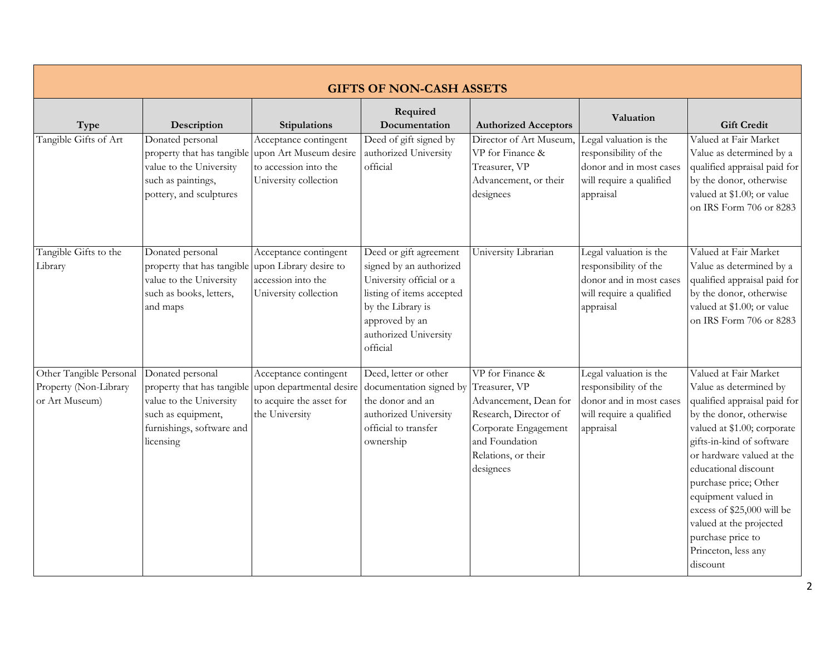| <b>GIFTS OF NON-CASH ASSETS</b>                                    |                                                                                                                                           |                                                                                                   |                                                                                                                                                                                        |                                                                                                                                                                   |                                                                                                                     |                                                                                                                                                                                                                                                                                                                                                                                              |  |
|--------------------------------------------------------------------|-------------------------------------------------------------------------------------------------------------------------------------------|---------------------------------------------------------------------------------------------------|----------------------------------------------------------------------------------------------------------------------------------------------------------------------------------------|-------------------------------------------------------------------------------------------------------------------------------------------------------------------|---------------------------------------------------------------------------------------------------------------------|----------------------------------------------------------------------------------------------------------------------------------------------------------------------------------------------------------------------------------------------------------------------------------------------------------------------------------------------------------------------------------------------|--|
| Type                                                               | Description                                                                                                                               | Stipulations                                                                                      | Required<br>Documentation                                                                                                                                                              | <b>Authorized Acceptors</b>                                                                                                                                       | Valuation                                                                                                           | <b>Gift Credit</b>                                                                                                                                                                                                                                                                                                                                                                           |  |
| Tangible Gifts of Art                                              | Donated personal<br>property that has tangible<br>value to the University<br>such as paintings,<br>pottery, and sculptures                | Acceptance contingent<br>upon Art Museum desire<br>to accession into the<br>University collection | Deed of gift signed by<br>authorized University<br>official                                                                                                                            | Director of Art Museum,<br>VP for Finance &<br>Treasurer, VP<br>Advancement, or their<br>designees                                                                | Legal valuation is the<br>responsibility of the<br>donor and in most cases<br>will require a qualified<br>appraisal | Valued at Fair Market<br>Value as determined by a<br>qualified appraisal paid for<br>by the donor, otherwise<br>valued at \$1.00; or value<br>on IRS Form 706 or 8283                                                                                                                                                                                                                        |  |
| Tangible Gifts to the<br>Library                                   | Donated personal<br>property that has tangible<br>value to the University<br>such as books, letters,<br>and maps                          | Acceptance contingent<br>upon Library desire to<br>accession into the<br>University collection    | Deed or gift agreement<br>signed by an authorized<br>University official or a<br>listing of items accepted<br>by the Library is<br>approved by an<br>authorized University<br>official | University Librarian                                                                                                                                              | Legal valuation is the<br>responsibility of the<br>donor and in most cases<br>will require a qualified<br>appraisal | Valued at Fair Market<br>Value as determined by a<br>qualified appraisal paid for<br>by the donor, otherwise<br>valued at \$1.00; or value<br>on IRS Form 706 or 8283                                                                                                                                                                                                                        |  |
| Other Tangible Personal<br>Property (Non-Library<br>or Art Museum) | Donated personal<br>property that has tangible<br>value to the University<br>such as equipment,<br>furnishings, software and<br>licensing | Acceptance contingent<br>upon departmental desire<br>to acquire the asset for<br>the University   | Deed, letter or other<br>documentation signed by<br>the donor and an<br>authorized University<br>official to transfer<br>ownership                                                     | VP for Finance &<br>Treasurer, VP<br>Advancement, Dean for<br>Research, Director of<br>Corporate Engagement<br>and Foundation<br>Relations, or their<br>designees | Legal valuation is the<br>responsibility of the<br>donor and in most cases<br>will require a qualified<br>appraisal | Valued at Fair Market<br>Value as determined by<br>qualified appraisal paid for<br>by the donor, otherwise<br>valued at \$1.00; corporate<br>gifts-in-kind of software<br>or hardware valued at the<br>educational discount<br>purchase price; Other<br>equipment valued in<br>excess of \$25,000 will be<br>valued at the projected<br>purchase price to<br>Princeton, less any<br>discount |  |